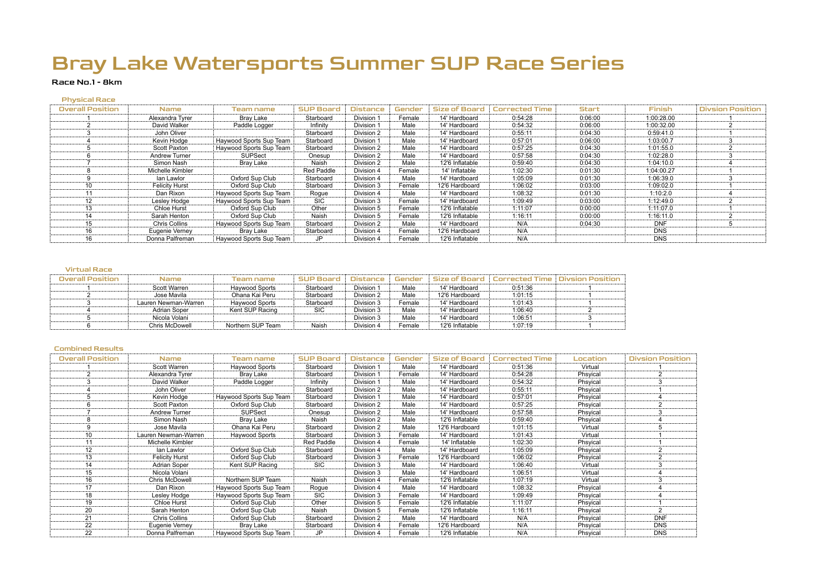### Race No.1 - 8km

#### Physical Race

| <b>Overall Position</b> | Name.                 | Team name               | <b>SUP Board</b> | <b>Distance</b> | Gender | <b>Size of Board</b> | <b>Corrected Time</b> | <b>Start</b> | Finish     | <b>Divsion Position</b> |
|-------------------------|-----------------------|-------------------------|------------------|-----------------|--------|----------------------|-----------------------|--------------|------------|-------------------------|
|                         | Alexandra Tyrer       | Bray Lake               | Starboard        | Division 1      | Female | 14' Hardboard        | 0:54:28               | 0:06:00      | 1:00:28.00 |                         |
|                         | David Walker          | Paddle Logger           | Infinity         | Division 1      | Male   | 14' Hardboard        | 0:54:32               | 0:06:00      | 1:00:32.00 |                         |
|                         | John Oliver           |                         | Starboard        | Division 2      | Male   | 14' Hardboard        | 0:55:11               | 0:04:30      | 0:59:41.0  |                         |
|                         | Kevin Hodge           | Haywood Sports Sup Team | Starboard        | Division 1      | Male   | 14' Hardboard        | 0:57:01               | 0:06:00      | 1:03:00.7  |                         |
|                         | Scott Paxton          | Haywood Sports Sup Team | Starboard        | Division 2      | Male   | 14' Hardboard        | 0:57:25               | 0:04:30      | 1:01:55.0  |                         |
|                         | Andrew Turner         | SUPSect                 | Onesup           | Division 2      | Male   | 14' Hardboard        | 0:57:58               | 0:04:30      | 1:02:28.0  |                         |
|                         | Simon Nash            | Bray Lake               | Naish            | Division 2      | Male   | 12'6 Inflatable      | 0:59:40               | 0:04:30      | 1:04:10.0  |                         |
|                         | Michelle Kimbler      |                         | Red Paddle       | Division 4      | Female | 14' Inflatable       | 1:02:30               | 0:01:30      | 1:04:00.27 |                         |
|                         | lan Lawlor            | Oxford Sup Club         | Starboard        | Division 4      | Male   | 14' Hardboard        | 1:05:09               | 0:01:30      | 1:06:39.0  |                         |
| 10                      | <b>Felicity Hurst</b> | Oxford Sup Club         | Starboard        | Division 3      | Female | 12'6 Hardboard       | 1:06:02               | 0:03:00      | 1:09:02.0  |                         |
|                         | Dan Rixon             | Haywood Sports Sup Team | Rogue            | Division 4      | Male   | 14' Hardboard        | 1:08:32               | 0:01:30      | 1:10:2.0   |                         |
| 12 <sup>2</sup>         | Lesley Hodge          | Haywood Sports Sup Team | <b>SIC</b>       | Division 3      | Female | 14' Hardboard        | 1:09:49               | 0:03:00      | 1:12:49.0  |                         |
| 13                      | Chloe Hurst           | Oxford Sup Club         | Other            | Division 5      | Female | 12'6 Inflatable      | 1:11:07               | 0:00:00      | 1:11:07.0  |                         |
| 14                      | Sarah Henton          | Oxford Sup Club         | Naish            | Division 5      | Female | 12'6 Inflatable      | 1:16:11               | 0:00:00      | 1:16:11.0  |                         |
| 15                      | Chris Collins         | Haywood Sports Sup Team | Starboard        | Division 2      | Male   | 14' Hardboard        | N/A                   | 0:04:30      | <b>DNF</b> |                         |
| 16                      | Eugenie Verney        | Bray Lake               | Starboard        | Division 4      | Female | 12'6 Hardboard       | N/A                   |              | <b>DNS</b> |                         |
| 16                      | Donna Palfreman       | Haywood Sports Sup Team | JP               | Division 4      | Female | 12'6 Inflatable      | N/A                   |              | <b>DNS</b> |                         |

#### Virtual Race

| Overall Position | Name                  | Team name         | <b>SUP Board</b> | <b>Distance</b> | Gender | Size of Board   | Corrected Time | <b>Divsion Position</b> |
|------------------|-----------------------|-------------------|------------------|-----------------|--------|-----------------|----------------|-------------------------|
|                  | Scott Warren          | Haywood Sports    | Starboard        | Division 1      | Male   | 14' Hardboard   | 0:51:36        |                         |
|                  | Jose Mavila           | Ohana Kai Peru    | Starboard        | Division 2      | Male   | 12'6 Hardboard  | 1:01:15        |                         |
|                  | Lauren Newman-Warren  | Haywood Sports    | Starboard        | Division 3      | Female | 14' Hardboard   | 1:01:43        |                         |
|                  | Adrian Soper          | Kent SUP Racing   | <b>SIC</b>       | Division 3      | Male   | 14' Hardboard   | 1:06:40        |                         |
|                  | Nicola Volani         |                   |                  | Division 3      | Male   | 14' Hardboard   | 1:06:51        |                         |
|                  | <b>Chris McDowell</b> | Northern SUP Team | Naish            | Division 4      | Female | 12'6 Inflatable | 1:07:19        |                         |

| <b>Overall Position</b> | <b>Name</b>           | <b>Team name</b>        | <b>SUP Board</b> | <b>Distance</b> | Gender | Size of Board   | Corrected Time | Location | <b>Divsion Position</b> |
|-------------------------|-----------------------|-------------------------|------------------|-----------------|--------|-----------------|----------------|----------|-------------------------|
|                         | Scott Warren          | Haywood Sports          | Starboard        | Division 1      | Male   | 14' Hardboard   | 0:51:36        | Virtual  |                         |
|                         | Alexandra Tyrer       | Bray Lake               | Starboard        | Division 1      | Female | 14' Hardboard   | 0:54:28        | Phsyical |                         |
| 3                       | David Walker          | Paddle Logger           | Infinity         | Division 1      | Male   | 14' Hardboard   | 0:54:32        | Phsyical |                         |
|                         | John Oliver           |                         | Starboard        | Division 2      | Male   | 14' Hardboard   | 0:55:11        | Phsyical |                         |
| 5                       | Kevin Hodge           | Haywood Sports Sup Team | Starboard        | Division 1      | Male   | 14' Hardboard   | 0:57:01        | Phsyical |                         |
| 6                       | <b>Scott Paxton</b>   | Oxford Sup Club         | Starboard        | Division 2      | Male   | 14' Hardboard   | 0:57:25        | Phsyical |                         |
|                         | <b>Andrew Turner</b>  | <b>SUPSect</b>          | Onesup           | Division 2      | Male   | 14' Hardboard   | 0:57:58        | Phsyical |                         |
| 8                       | Simon Nash            | Bray Lake               | Naish            | Division 2      | Male   | 12'6 Inflatable | 0:59:40        | Phsyical |                         |
| 9                       | Jose Mavila           | Ohana Kai Peru          | Starboard        | Division 2      | Male   | 12'6 Hardboard  | 1:01:15        | Virtual  |                         |
| 10                      | Lauren Newman-Warren  | Haywood Sports          | Starboard        | Division 3      | Female | 14' Hardboard   | 1:01:43        | Virtual  |                         |
| 11                      | Michelle Kimbler      |                         | Red Paddle       | Division 4      | Female | 14' Inflatable  | 1:02:30        | Phsyical |                         |
| 12                      | lan Lawlor            | Oxford Sup Club         | Starboard        | Division 4      | Male   | 14' Hardboard   | 1:05:09        | Phsyical |                         |
| 13                      | <b>Felicity Hurst</b> | Oxford Sup Club         | Starboard        | Division 3      | Female | 12'6 Hardboard  | 1:06:02        | Phsyical |                         |
| 14                      | <b>Adrian Soper</b>   | Kent SUP Racing         | <b>SIC</b>       | Division 3      | Male   | 14' Hardboard   | 1:06:40        | Virtual  |                         |
| 15                      | Nicola Volani         |                         |                  | Division 3      | Male   | 14' Hardboard   | 1:06:51        | Virtual  |                         |
| 16                      | Chris McDowell        | Northern SUP Team       | Naish            | Division 4      | Female | 12'6 Inflatable | 1:07:19        | Virtual  |                         |
| 17                      | Dan Rixon             | Haywood Sports Sup Team | Rogue            | Division 4      | Male   | 14' Hardboard   | 1:08:32        | Phsyical |                         |
| 18                      | Lesley Hodge          | Haywood Sports Sup Team | <b>SIC</b>       | Division 3      | Female | 14' Hardboard   | 1:09:49        | Phsyical |                         |
| 19                      | <b>Chloe Hurst</b>    | Oxford Sup Club         | Other            | Division 5      | Female | 12'6 Inflatable | 1:11:07        | Phsyical |                         |
| 20                      | Sarah Henton          | Oxford Sup Club         | Naish            | Division 5      | Female | 12'6 Inflatable | 1:16:11        | Phsyical |                         |
| 21                      | <b>Chris Collins</b>  | Oxford Sup Club         | Starboard        | Division 2      | Male   | 14' Hardboard   | N/A            | Phsyical | <b>DNF</b>              |
| 22                      | Eugenie Verney        | Bray Lake               | Starboard        | Division 4      | Female | 12'6 Hardboard  | N/A            | Phsyical | <b>DNS</b>              |
| 22                      | Donna Palfreman       | Haywood Sports Sup Team | JP               | Division 4      | Female | 12'6 Inflatable | N/A            | Phsyical | <b>DNS</b>              |
|                         |                       |                         |                  |                 |        |                 |                |          |                         |

| <b>Divsion Position</b> |
|-------------------------|
| 1                       |
| $\bar{2}$               |
| 3                       |
| 1                       |
| 4                       |
| $\overline{2}$          |
| $\overline{3}$          |
| 4                       |
| 5                       |
| 1                       |
| 1                       |
| $\overline{2}$          |
| $\overline{2}$          |
| $\overline{3}$          |
| <br>4                   |
| $\overline{3}$          |
| $\overline{4}$          |
| 4                       |
| 1                       |
| $\overline{2}$          |
| <b>DNF</b>              |
| DNS                     |
| DNS                     |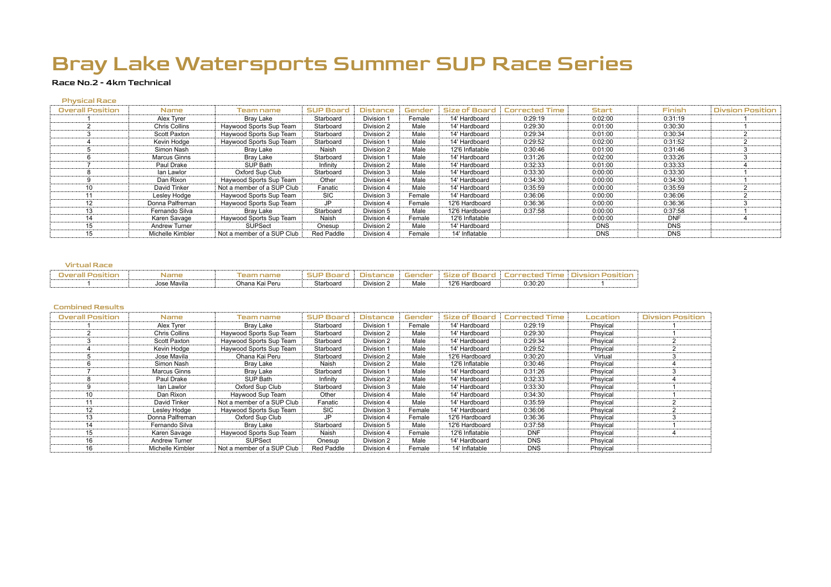### Race No.2 - 4km Technical

#### Physical Race

| <b>Overall Position</b> | Name                 | Team name                  | <b>SUP Board</b> | <b>Distance</b> | Gender | Size of Board   | <b>Corrected Time</b> | <b>Start</b> | Finish     | <b>Divsion Position</b> |
|-------------------------|----------------------|----------------------------|------------------|-----------------|--------|-----------------|-----------------------|--------------|------------|-------------------------|
|                         | Alex Tyrer           | Bray Lake                  | Starboard        | Division 1      | Female | 14' Hardboard   | 0:29:19               | 0:02:00      | 0:31:19    |                         |
|                         | <b>Chris Collins</b> | Haywood Sports Sup Team    | Starboard        | Division 2      | Male   | 14' Hardboard   | 0:29:30               | 0:01:00      | 0:30:30    |                         |
|                         | Scott Paxton         | Haywood Sports Sup Team    | Starboard        | Division 2      | Male   | 14' Hardboard   | 0:29:34               | 0:01:00      | 0:30:34    |                         |
|                         | Kevin Hodge          | Haywood Sports Sup Team    | Starboard        | Division 1      | Male   | 14' Hardboard   | 0:29:52               | 0:02:00      | 0:31:52    |                         |
|                         | Simon Nash           | Bray Lake                  | Naish            | Division 2      | Male   | 12'6 Inflatable | 0:30:46               | 0:01:00      | 0:31:46    |                         |
|                         | Marcus Ginns         | Bray Lake                  | Starboard        | Division 1      | Male   | 14' Hardboard   | 0:31:26               | 0:02:00      | 0:33:26    |                         |
|                         | Paul Drake           | SUP Bath                   | Infinity         | Division 2      | Male   | 14' Hardboard   | 0:32:33               | 0:01:00      | 0:33:33    |                         |
|                         | lan Lawlor           | Oxford Sup Club            | Starboard        | Division 3      | Male   | 14' Hardboard   | 0:33:30               | 0:00:00      | 0:33:30    |                         |
|                         | Dan Rixon            | Haywood Sports Sup Team    | Other            | Division 4      | Male   | 14' Hardboard   | 0:34:30               | 0:00:00      | 0:34:30    |                         |
| 10                      | David Tinker         | Not a member of a SUP Club | Fanatic          | Division 4      | Male   | 14' Hardboard   | 0:35:59               | 0:00:00      | 0:35:59    |                         |
|                         | Lesley Hodge         | Haywood Sports Sup Team    | <b>SIC</b>       | Division 3      | Female | 14' Hardboard   | 0:36:06               | 0:00:00      | 0:36:06    |                         |
| 12                      | Donna Palfreman      | Haywood Sports Sup Team    | JP.              | Division 4      | Female | 12'6 Hardboard  | 0:36:36               | 0:00:00      | 0:36:36    |                         |
| 13                      | Fernando Silva       | Bray Lake                  | Starboard        | Division 5      | Male   | 12'6 Hardboard  | 0:37:58               | 0:00:00      | 0:37:58    |                         |
| 14                      | Karen Savage         | Haywood Sports Sup Team    | Naish            | Division 4      | Female | 12'6 Inflatable |                       | 0:00:00      | <b>DNF</b> |                         |
| 15                      | <b>Andrew Turner</b> | <b>SUPSect</b>             | Onesup           | Division 2      | Male   | 14' Hardboard   |                       | <b>DNS</b>   | <b>DNS</b> |                         |
| 15                      | Michelle Kimbler     | Not a member of a SUP Club | Red Paddle       | Division 4      | Female | 14' Inflatable  |                       | <b>DNS</b>   | <b>DNS</b> |                         |

### Virtual Race

| Overall<br>ומוז | <b>Name</b> | œ<br>' name    | <b>SUP</b> |            | Ger<br>ador | size ot        |         | livsion<br>5IT |
|-----------------|-------------|----------------|------------|------------|-------------|----------------|---------|----------------|
|                 | Jose Mavila | Ohana Kai Peru | Starboard  | Division 2 | Male        | 12'6 Hardboard | 0:30:20 |                |

| <b>Overall Position</b> | Name.                | Team name                  | <b>SUP Board</b>  | <b>Distance</b> | Gender | <b>Size of Board</b> | Corrected Time | Location | <b>Divsion Position</b> |
|-------------------------|----------------------|----------------------------|-------------------|-----------------|--------|----------------------|----------------|----------|-------------------------|
|                         | Alex Tyrer           | Bray Lake                  | Starboard         | Division 1      | Female | 14' Hardboard        | 0:29:19        | Phsvical |                         |
|                         | <b>Chris Collins</b> | Haywood Sports Sup Team    | Starboard         | Division 2      | Male   | 14' Hardboard        | 0:29:30        | Phsyical |                         |
|                         | Scott Paxton         | Haywood Sports Sup Team    | Starboard         | Division 2      | Male   | 14' Hardboard        | 0:29:34        | Phsyical |                         |
|                         | Kevin Hodge          | Haywood Sports Sup Team    | Starboard         | Division 1      | Male   | 14' Hardboard        | 0:29:52        | Phsyical |                         |
|                         | Jose Mavila          | Ohana Kai Peru             | Starboard         | Division 2      | Male   | 12'6 Hardboard       | 0:30:20        | Virtual  |                         |
|                         | Simon Nash           | Bray Lake                  | Naish             | Division 2      | Male   | 12'6 Inflatable      | 0:30:46        | Phsyical |                         |
|                         | Marcus Ginns         | Bray Lake                  | Starboard         | Division 1      | Male   | 14' Hardboard        | 0:31:26        | Phsyical |                         |
|                         | Paul Drake           | SUP Bath                   | Infinity          | Division 2      | Male   | 14' Hardboard        | 0:32:33        | Phsyical |                         |
|                         | lan Lawlor           | Oxford Sup Club            | Starboard         | Division 3      | Male   | 14' Hardboard        | 0:33:30        | Phsyical |                         |
| 10                      | Dan Rixon            | Haywood Sup Team           | Other             | Division 4      | Male   | 14' Hardboard        | 0:34:30        | Phsyical |                         |
| 11                      | David Tinker         | Not a member of a SUP Club | Fanatic           | Division 4      | Male   | 14' Hardboard        | 0:35:59        | Phsyical |                         |
| 12                      | Lesley Hodge         | Haywood Sports Sup Team    | <b>SIC</b>        | Division 3      | Female | 14' Hardboard        | 0:36:06        | Phsyical |                         |
| 13                      | Donna Palfreman      | Oxford Sup Club            | JP                | Division 4      | Female | 12'6 Hardboard       | 0:36:36        | Phsyical |                         |
| 14                      | Fernando Silva       | Bray Lake                  | Starboard         | Division 5      | Male   | 12'6 Hardboard       | 0:37:58        | Phsyical |                         |
| 15                      | Karen Savage         | Haywood Sports Sup Team    | Naish             | Division 4      | Female | 12'6 Inflatable      | <b>DNF</b>     | Phsyical |                         |
| 16                      | <b>Andrew Turner</b> | SUPSect                    | Onesup            | Division 2      | Male   | 14' Hardboard        | <b>DNS</b>     | Phsyical |                         |
| 16                      | Michelle Kimbler     | Not a member of a SUP Club | <b>Red Paddle</b> | Division 4      | Female | 14' Inflatable       | <b>DNS</b>     | Phsvical |                         |



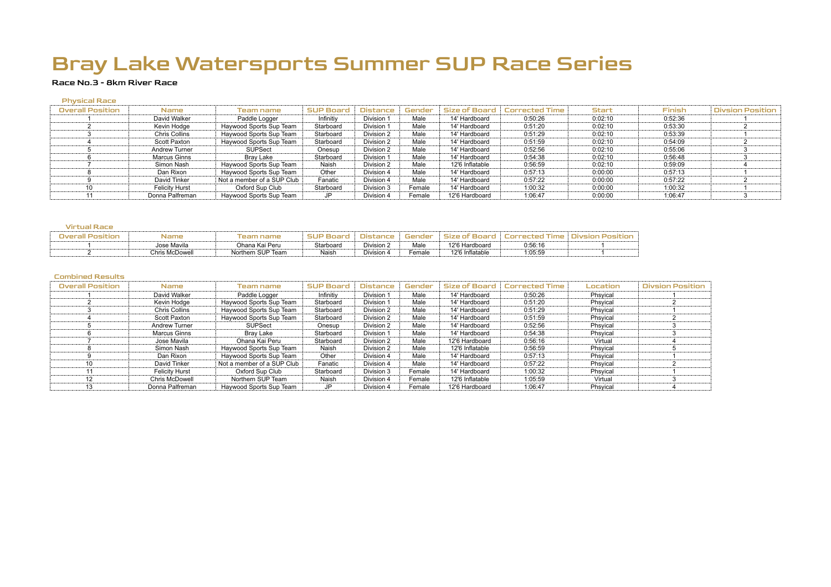### Race No.3 - 8km River Race

#### Physical Race

| <b>Overall Position</b> | <b>Name</b>           | Team name                  | <b>SUP Board</b> | <b>Distance</b> | Gender | Size of Board   | <b>Corrected Time</b> | <b>Start</b> | Finish  | <b>Divsion Position</b> |
|-------------------------|-----------------------|----------------------------|------------------|-----------------|--------|-----------------|-----------------------|--------------|---------|-------------------------|
|                         | David Walker          | Paddle Logger              | Infinitiv        | Division 1      | Male   | 14' Hardboard   | 0:50:26               | 0:02:10      | 0:52:36 |                         |
|                         | Kevin Hodge           | Haywood Sports Sup Team    | Starboard        | Division 1      | Male   | 14' Hardboard   | 0:51:20               | 0:02:10      | 0:53:30 |                         |
|                         | <b>Chris Collins</b>  | Haywood Sports Sup Team    | Starboard        | Division 2      | Male   | 14' Hardboard   | 0:51:29               | 0:02:10      | 0:53:39 |                         |
|                         | Scott Paxton          | Haywood Sports Sup Team    | Starboard        | Division 2      | Male   | 14' Hardboard   | 0:51:59               | 0:02:10      | 0:54:09 |                         |
|                         | <b>Andrew Turner</b>  | <b>SUPSect</b>             | Onesup           | Division 2      | Male   | 14' Hardboard   | 0:52:56               | 0:02:10      | 0:55:06 |                         |
|                         | Marcus Ginns          | Bray Lake                  | Starboard        | Division 1      | Male   | 14' Hardboard   | 0:54:38               | 0:02:10      | 0:56:48 |                         |
|                         | Simon Nash            | Haywood Sports Sup Team    | Naish            | Division 2      | Male   | 12'6 Inflatable | 0:56:59               | 0:02:10      | 0:59:09 |                         |
|                         | Dan Rixon             | Haywood Sports Sup Team    | Other            | Division 4      | Male   | 14' Hardboard   | 0:57:13               | 0:00:00      | 0:57:13 |                         |
|                         | David Tinker          | Not a member of a SUP Club | Fanatic          | Division 4      | Male   | 14' Hardboard   | 0:57:22               | 0:00:00      | 0:57:22 |                         |
| 10                      | <b>Felicity Hurst</b> | Oxford Sup Club            | Starboard        | Division 3      | Female | 14' Hardboard   | 1:00:32               | 0:00:00      | 1:00:32 |                         |
|                         | Donna Palfreman       | Haywood Sports Sup Team    | JP               | Division 4      | Female | 12'6 Hardboard  | 1:06:47               | 0:00:00      | 1:06:47 |                         |

#### Virtual Race

| Overall Positior | Name           | Feam name         | SUP       |            |        |                 |         | шус |
|------------------|----------------|-------------------|-----------|------------|--------|-----------------|---------|-----|
|                  | Jose Mavila    | Ohana Kai Peru    | Starboard | Division 2 | Male   | 12'6 Hardboard  | 0:56:16 |     |
|                  | Chris McDowell | Northern SUP Team | Naish     | Division 4 | Female | 12'6 Inflatable | 1:05:59 |     |

| <b>Overall Position</b> | <b>Name</b>           | Team name                  | <b>SUP Board</b> | <b>Distance</b> | Gender | <b>Size of Board</b> | <b>Corrected Time</b> | Location | <b>Divsion Position</b> |
|-------------------------|-----------------------|----------------------------|------------------|-----------------|--------|----------------------|-----------------------|----------|-------------------------|
|                         | David Walker          | Paddle Logger              | Infinitiv        | Division 1      | Male   | 14' Hardboard        | 0:50:26               | Phsyical |                         |
|                         | Kevin Hodge           | Haywood Sports Sup Team    | Starboard        | Division 1      | Male   | 14' Hardboard        | 0:51:20               | Phsvical |                         |
|                         | <b>Chris Collins</b>  | Haywood Sports Sup Team    | Starboard        | Division 2      | Male   | 14' Hardboard        | 0:51:29               | Phsvical |                         |
|                         | Scott Paxton          | Haywood Sports Sup Team    | Starboard        | Division 2      | Male   | 14' Hardboard        | 0:51:59               | Phsvical |                         |
|                         | <b>Andrew Turner</b>  | <b>SUPSect</b>             | Onesup           | Division 2      | Male   | 14' Hardboard        | 0:52:56               | Phsyical |                         |
|                         | Marcus Ginns          | Bray Lake                  | Starboard        | Division 1      | Male   | 14' Hardboard        | 0:54:38               | Phsyical |                         |
|                         | Jose Mavila           | Ohana Kai Peru             | Starboard        | Division 2      | Male   | 12'6 Hardboard       | 0:56:16               | Virtual  |                         |
|                         | Simon Nash            | Haywood Sports Sup Team    | Naish            | Division 2      | Male   | 12'6 Inflatable      | 0:56:59               | Phsyical |                         |
|                         | Dan Rixon             | Haywood Sports Sup Team    | Other            | Division 4      | Male   | 14' Hardboard        | 0:57:13               | Phsvical |                         |
| 10                      | David Tinker          | Not a member of a SUP Club | Fanatic          | Division 4      | Male   | 14' Hardboard        | 0:57:22               | Phsvical |                         |
|                         | <b>Felicity Hurst</b> | Oxford Sup Club            | Starboard        | Division 3      | Female | 14' Hardboard        | 1:00:32               | Phsyical |                         |
| 12                      | Chris McDowell        | Northern SUP Team          | Naish            | Division 4      | Female | 12'6 Inflatable      | 1:05:59               | Virtual  |                         |
| 13                      | Donna Palfreman       | Haywood Sports Sup Team    | JP               | Division 4      | Female | 12'6 Hardboard       | 1:06:47               | Phsyical |                         |



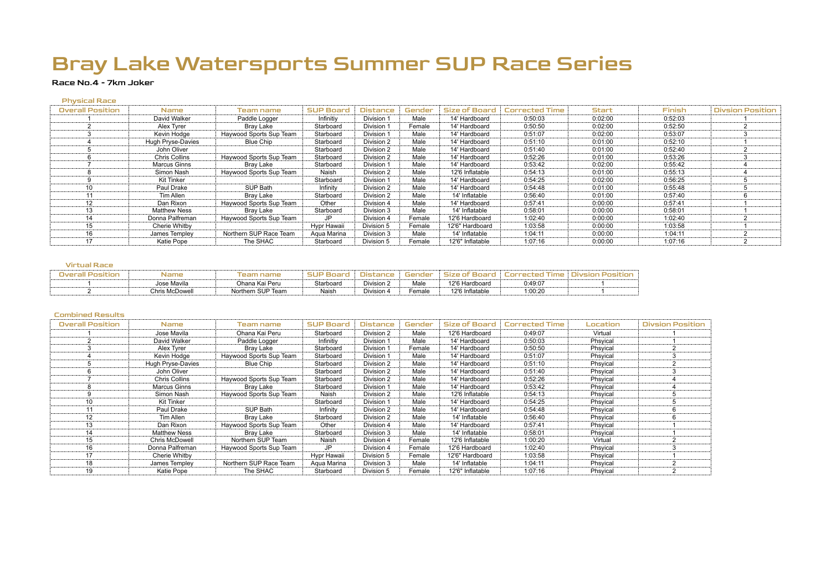### Race No.4 - 7km Joker

#### Physical Race

| <b>Overall Position</b> | <b>Name</b>          | Team name               | <b>SUP Board</b> | <b>Distance</b> | Gender | <b>Size of Board</b> | <b>Corrected Time</b> | <b>Start</b> | <b>Finish</b> | <b>Divsion Position</b> |
|-------------------------|----------------------|-------------------------|------------------|-----------------|--------|----------------------|-----------------------|--------------|---------------|-------------------------|
|                         | David Walker         | Paddle Logger           | Infinitiv        | Division 1      | Male   | 14' Hardboard        | 0:50:03               | 0:02:00      | 0:52:03       |                         |
|                         | Alex Tyrer           | Bray Lake               | Starboard        | Division 1      | Female | 14' Hardboard        | 0:50:50               | 0:02:00      | 0:52:50       |                         |
|                         | Kevin Hodge          | Haywood Sports Sup Team | Starboard        | Division 1      | Male   | 14' Hardboard        | 0:51:07               | 0:02:00      | 0:53:07       |                         |
|                         | Hugh Pryse-Davies    | Blue Chip               | Starboard        | Division 2      | Male   | 14' Hardboard        | 0:51:10               | 0:01:00      | 0:52:10       |                         |
|                         | John Oliver          |                         | Starboard        | Division 2      | Male   | 14' Hardboard        | 0:51:40               | 0:01:00      | 0:52:40       |                         |
|                         | <b>Chris Collins</b> | Haywood Sports Sup Team | Starboard        | Division 2      | Male   | 14' Hardboard        | 0:52:26               | 0:01:00      | 0:53:26       |                         |
|                         | Marcus Ginns         | Brav Lake               | Starboard        | Division 1      | Male   | 14' Hardboard        | 0:53:42               | 0:02:00      | 0:55:42       |                         |
|                         | Simon Nash           | Haywood Sports Sup Team | Naish            | Division 2      | Male   | 12'6 Inflatable      | 0:54:13               | 0:01:00      | 0:55:13       |                         |
|                         | Kit Tinker           |                         | Starboard        | Division 1      | Male   | 14' Hardboard        | 0:54:25               | 0:02:00      | 0:56:25       |                         |
| 10                      | Paul Drake           | SUP Bath                | Infinity         | Division 2      | Male   | 14' Hardboard        | 0:54:48               | 0:01:00      | 0:55:48       |                         |
|                         | Tim Allen            | Bray Lake               | Starboard        | Division 2      | Male   | 14' Inflatable       | 0:56:40               | 0:01:00      | 0:57:40       |                         |
| 12                      | Dan Rixon            | Haywood Sports Sup Team | Other            | Division 4      | Male   | 14' Hardboard        | 0:57:41               | 0:00:00      | 0:57:41       |                         |
| 13                      | <b>Matthew Ness</b>  | Bray Lake               | Starboard        | Division 3      | Male   | 14' Inflatable       | 0:58:01               | 0:00:00      | 0:58:01       |                         |
| 14                      | Donna Palfreman      | Haywood Sports Sup Team | JP               | Division 4      | Female | 12'6 Hardboard       | 1:02:40               | 0:00:00      | 1:02:40       |                         |
| 15                      | Cherie Whitby        |                         | Hypr Hawaii      | Division 5      | Female | 12'6" Hardboard      | 1:03:58               | 0:00:00      | 1:03:58       |                         |
| 16                      | James Templey        | Northern SUP Race Team  | Agua Marina      | Division 3      | Male   | 14' Inflatable       | 1:04:11               | 0:00:00      | 1:04:11       |                         |
| 17                      | Katie Pope           | The SHAC                | Starboard        | Division 5      | Female | 12'6" Inflatable     | 1:07:16               | 0:00:00      | 1:07:16       |                         |

#### Virtual Race

| <b>Overall Position</b> | Name .         | l eam name        | <b>SUP Boa</b> |            | Gender | Size of Board   | tod.<br>orrec | livsion.<br>nsıtınr |
|-------------------------|----------------|-------------------|----------------|------------|--------|-----------------|---------------|---------------------|
|                         | Jose Mavila    | Ohana Kai Peru    | Starboard      | Division 2 | Male   | 12'6 Hardboard  | 0:49:07       |                     |
|                         | Chris McDowell | Northern SUP Team | Naish          | Division 4 | Female | 12'6 Inflatable | 1:00:20       |                     |

| <b>Overall Position</b> | <b>Name</b>           | Team name               | <b>SUP Board</b> | <b>Distance</b> | Gender | <b>Size of Board</b> | <b>Corrected Time</b> | Location | <b>Divsion Position</b> |
|-------------------------|-----------------------|-------------------------|------------------|-----------------|--------|----------------------|-----------------------|----------|-------------------------|
|                         | Jose Mavila           | Ohana Kai Peru          | Starboard        | Division 2      | Male   | 12'6 Hardboard       | 0:49:07               | Virtual  |                         |
|                         | David Walker          | Paddle Logger           | Infinitiy        | Division 1      | Male   | 14' Hardboard        | 0:50:03               | Phsyical |                         |
|                         | Alex Tyrer            | Bray Lake               | Starboard        | Division 1      | Female | 14' Hardboard        | 0:50:50               | Phsyical |                         |
|                         | Kevin Hodge           | Haywood Sports Sup Team | Starboard        | Division 1      | Male   | 14' Hardboard        | 0:51:07               | Phsyical |                         |
|                         | Hugh Pryse-Davies     | Blue Chip               | Starboard        | Division 2      | Male   | 14' Hardboard        | 0:51:10               | Phsyical |                         |
|                         | John Oliver           |                         | Starboard        | Division 2      | Male   | 14' Hardboard        | 0:51:40               | Phsyical |                         |
|                         | Chris Collins         | Haywood Sports Sup Team | Starboard        | Division 2      | Male   | 14' Hardboard        | 0:52:26               | Phsyical |                         |
| 8                       | Marcus Ginns          | Bray Lake               | Starboard        | Division 1      | Male   | 14' Hardboard        | 0:53:42               | Phsyical |                         |
|                         | Simon Nash            | Haywood Sports Sup Team | Naish            | Division 2      | Male   | 12'6 Inflatable      | 0:54:13               | Phsyical |                         |
| 10                      | Kit Tinker            |                         | Starboard        | Division 1      | Male   | 14' Hardboard        | 0:54:25               | Phsyical |                         |
| 11                      | Paul Drake            | SUP Bath                | Infinity         | Division 2      | Male   | 14' Hardboard        | 0:54:48               | Phsyical | b                       |
| 12                      | Tim Allen             | Bray Lake               | Starboard        | Division 2      | Male   | 14' Inflatable       | 0:56:40               | Phsyical |                         |
| 13                      | Dan Rixon             | Haywood Sports Sup Team | Other            | Division 4      | Male   | 14' Hardboard        | 0:57:41               | Phsyical |                         |
| 14                      | <b>Matthew Ness</b>   | Bray Lake               | Starboard        | Division 3      | Male   | 14' Inflatable       | 0:58:01               | Phsyical |                         |
| 15                      | <b>Chris McDowell</b> | Northern SUP Team       | Naish            | Division 4      | Female | 12'6 Inflatable      | 1:00:20               | Virtual  |                         |
| 16                      | Donna Palfreman       | Haywood Sports Sup Team | JP               | Division 4      | Female | 12'6 Hardboard       | 1:02:40               | Phsyical |                         |
| 17                      | Cherie Whitby         |                         | Hypr Hawaii      | Division 5      | Female | 12'6" Hardboard      | 1:03:58               | Phsyical |                         |
| 18                      | James Templey         | Northern SUP Race Team  | Aqua Marina      | Division 3      | Male   | 14' Inflatable       | 1:04:11               | Phsyical |                         |
| 19                      | Katie Pope            | The SHAC                | Starboard        | Division 5      | Female | 12'6" Inflatable     | 1:07:16               | Phsyical |                         |





| <b>Divsion Position</b> |
|-------------------------|
| 1                       |
| 1                       |
| $\overline{2}$          |
| 3                       |
| $\overline{\mathbf{c}}$ |
| 3                       |
| 4                       |
| 4                       |
| 5                       |
| 5                       |
| 6                       |
| 6                       |
| 1                       |
| 1                       |
| $\overline{\mathbf{c}}$ |
| 3                       |
| 1                       |
| $\overline{2}$          |
| $\overline{2}$          |
|                         |